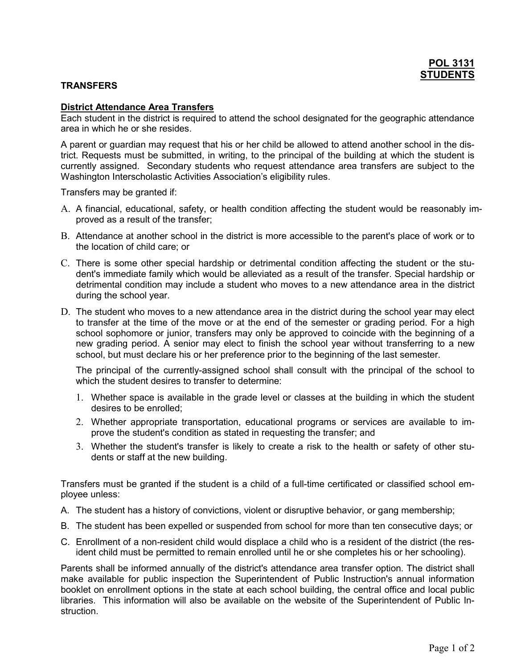## **TRANSFERS**

## District Attendance Area Transfers

Each student in the district is required to attend the school designated for the geographic attendance area in which he or she resides.

A parent or guardian may request that his or her child be allowed to attend another school in the district. Requests must be submitted, in writing, to the principal of the building at which the student is currently assigned. Secondary students who request attendance area transfers are subject to the Washington Interscholastic Activities Association's eligibility rules.

Transfers may be granted if:

- A. A financial, educational, safety, or health condition affecting the student would be reasonably improved as a result of the transfer;
- B. Attendance at another school in the district is more accessible to the parent's place of work or to the location of child care; or
- C. There is some other special hardship or detrimental condition affecting the student or the student's immediate family which would be alleviated as a result of the transfer. Special hardship or detrimental condition may include a student who moves to a new attendance area in the district during the school year.
- D. The student who moves to a new attendance area in the district during the school year may elect to transfer at the time of the move or at the end of the semester or grading period. For a high school sophomore or junior, transfers may only be approved to coincide with the beginning of a new grading period. A senior may elect to finish the school year without transferring to a new school, but must declare his or her preference prior to the beginning of the last semester.

The principal of the currently-assigned school shall consult with the principal of the school to which the student desires to transfer to determine:

- 1. Whether space is available in the grade level or classes at the building in which the student desires to be enrolled;
- 2. Whether appropriate transportation, educational programs or services are available to improve the student's condition as stated in requesting the transfer; and
- 3. Whether the student's transfer is likely to create a risk to the health or safety of other students or staff at the new building.

Transfers must be granted if the student is a child of a full-time certificated or classified school employee unless:

- A. The student has a history of convictions, violent or disruptive behavior, or gang membership;
- B. The student has been expelled or suspended from school for more than ten consecutive days; or
- C. Enrollment of a non-resident child would displace a child who is a resident of the district (the resident child must be permitted to remain enrolled until he or she completes his or her schooling).

Parents shall be informed annually of the district's attendance area transfer option. The district shall make available for public inspection the Superintendent of Public Instruction's annual information booklet on enrollment options in the state at each school building, the central office and local public libraries. This information will also be available on the website of the Superintendent of Public Instruction.